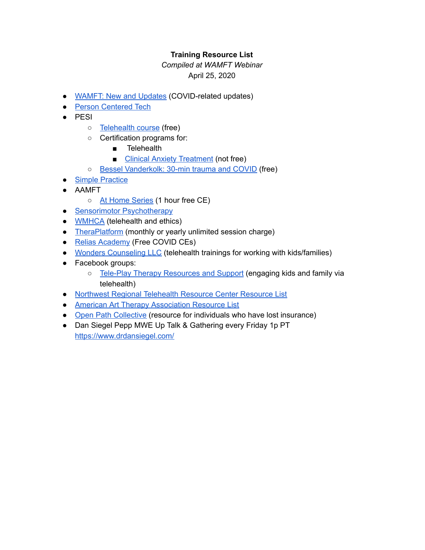## **Training Resource List**

## *Compiled at WAMFT Webinar* April 25, 2020

- WAMFT: New and Updates (COVID-related updates)
- Person Centered Tech
- PESI
	- Telehealth course (free)
	- Certification programs for:
		- Telehealth
		- Clinical Anxiety Treatment (not free)
	- Bessel Vanderkolk: 30-min trauma and COVID (free)
- Simple Practice
- AAMFT
	- At Home Series (1 hour free CE)
- Sensorimotor Psychotherapy
- **WMHCA** (telehealth and ethics)
- TheraPlatform (monthly or yearly unlimited session charge)
- Relias Academy (Free COVID CEs)
- Wonders Counseling LLC (telehealth trainings for working with kids/families)
- Facebook groups:
	- o Tele-Play Therapy Resources and Support (engaging kids and family via telehealth)
- Northwest Regional Telehealth Resource Center Resource List
- **American Art Therapy Association Resource List**
- Open Path Collective (resource for individuals who have lost insurance)
- Dan Siegel Pepp MWE Up Talk & Gathering every Friday 1p PT https://www.drdansiegel.com/